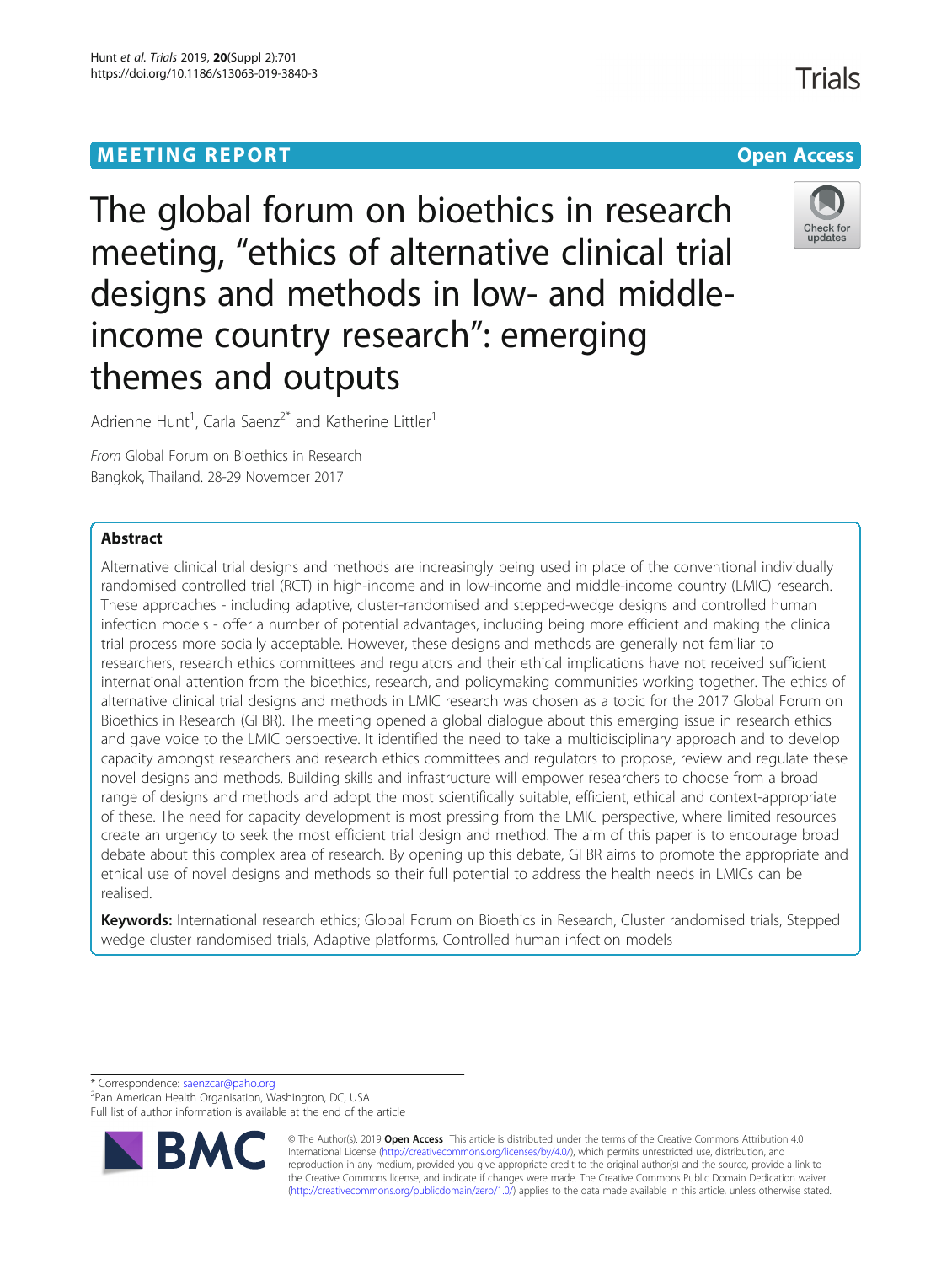# **MEETING REPORT CONSUMING A REPORT** And the construction of the consumption of the consumption of the consumption of the consumption of the consumption of the consumption of the consumption of the consumption of the consum

The global forum on bioethics in research meeting, "ethics of alternative clinical trial designs and methods in low- and middleincome country research": emerging themes and outputs



Adrienne Hunt<sup>1</sup>, Carla Saenz<sup>2\*</sup> and Katherine Littler<sup>1</sup>

From Global Forum on Bioethics in Research Bangkok, Thailand. 28-29 November 2017

# Abstract

Alternative clinical trial designs and methods are increasingly being used in place of the conventional individually randomised controlled trial (RCT) in high-income and in low-income and middle-income country (LMIC) research. These approaches - including adaptive, cluster-randomised and stepped-wedge designs and controlled human infection models - offer a number of potential advantages, including being more efficient and making the clinical trial process more socially acceptable. However, these designs and methods are generally not familiar to researchers, research ethics committees and regulators and their ethical implications have not received sufficient international attention from the bioethics, research, and policymaking communities working together. The ethics of alternative clinical trial designs and methods in LMIC research was chosen as a topic for the 2017 Global Forum on Bioethics in Research (GFBR). The meeting opened a global dialogue about this emerging issue in research ethics and gave voice to the LMIC perspective. It identified the need to take a multidisciplinary approach and to develop capacity amongst researchers and research ethics committees and regulators to propose, review and regulate these novel designs and methods. Building skills and infrastructure will empower researchers to choose from a broad range of designs and methods and adopt the most scientifically suitable, efficient, ethical and context-appropriate of these. The need for capacity development is most pressing from the LMIC perspective, where limited resources create an urgency to seek the most efficient trial design and method. The aim of this paper is to encourage broad debate about this complex area of research. By opening up this debate, GFBR aims to promote the appropriate and ethical use of novel designs and methods so their full potential to address the health needs in LMICs can be realised.

Keywords: International research ethics; Global Forum on Bioethics in Research, Cluster randomised trials, Stepped wedge cluster randomised trials, Adaptive platforms, Controlled human infection models

\* Correspondence: [saenzcar@paho.org](mailto:saenzcar@paho.org) <sup>2</sup>

<sup>2</sup>Pan American Health Organisation, Washington, DC, USA Full list of author information is available at the end of the article



© The Author(s). 2019 **Open Access** This article is distributed under the terms of the Creative Commons Attribution 4.0 International License [\(http://creativecommons.org/licenses/by/4.0/](http://creativecommons.org/licenses/by/4.0/)), which permits unrestricted use, distribution, and reproduction in any medium, provided you give appropriate credit to the original author(s) and the source, provide a link to the Creative Commons license, and indicate if changes were made. The Creative Commons Public Domain Dedication waiver [\(http://creativecommons.org/publicdomain/zero/1.0/](http://creativecommons.org/publicdomain/zero/1.0/)) applies to the data made available in this article, unless otherwise stated.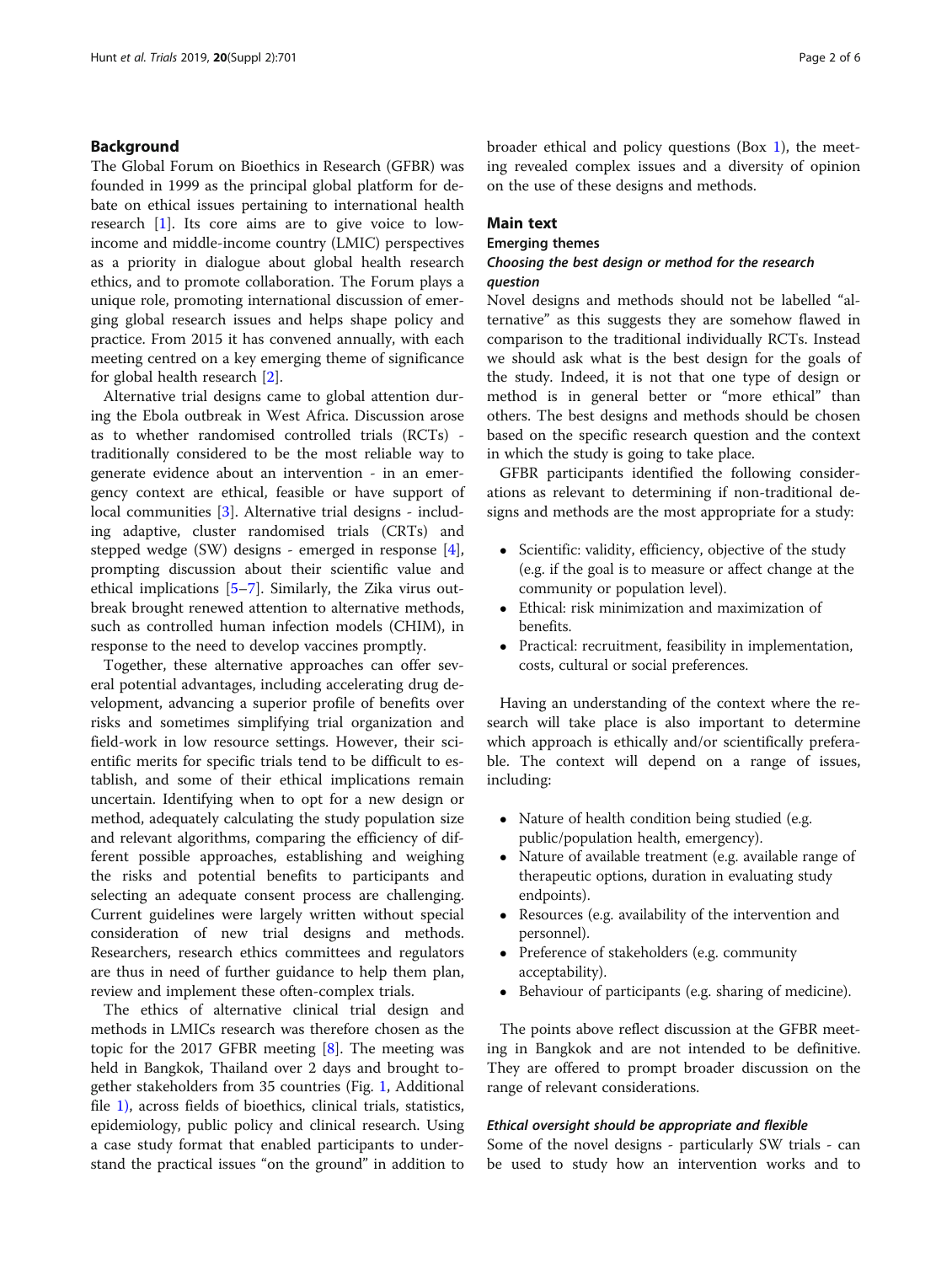# Background

The Global Forum on Bioethics in Research (GFBR) was founded in 1999 as the principal global platform for debate on ethical issues pertaining to international health research [\[1](#page-5-0)]. Its core aims are to give voice to lowincome and middle-income country (LMIC) perspectives as a priority in dialogue about global health research ethics, and to promote collaboration. The Forum plays a unique role, promoting international discussion of emerging global research issues and helps shape policy and practice. From 2015 it has convened annually, with each meeting centred on a key emerging theme of significance for global health research [[2\]](#page-5-0).

Alternative trial designs came to global attention during the Ebola outbreak in West Africa. Discussion arose as to whether randomised controlled trials (RCTs) traditionally considered to be the most reliable way to generate evidence about an intervention - in an emergency context are ethical, feasible or have support of local communities [[3\]](#page-5-0). Alternative trial designs - including adaptive, cluster randomised trials (CRTs) and stepped wedge (SW) designs - emerged in response [\[4](#page-5-0)], prompting discussion about their scientific value and ethical implications [\[5](#page-5-0)–[7\]](#page-5-0). Similarly, the Zika virus outbreak brought renewed attention to alternative methods, such as controlled human infection models (CHIM), in response to the need to develop vaccines promptly.

Together, these alternative approaches can offer several potential advantages, including accelerating drug development, advancing a superior profile of benefits over risks and sometimes simplifying trial organization and field-work in low resource settings. However, their scientific merits for specific trials tend to be difficult to establish, and some of their ethical implications remain uncertain. Identifying when to opt for a new design or method, adequately calculating the study population size and relevant algorithms, comparing the efficiency of different possible approaches, establishing and weighing the risks and potential benefits to participants and selecting an adequate consent process are challenging. Current guidelines were largely written without special consideration of new trial designs and methods. Researchers, research ethics committees and regulators are thus in need of further guidance to help them plan, review and implement these often-complex trials.

The ethics of alternative clinical trial design and methods in LMICs research was therefore chosen as the topic for the 2017 GFBR meeting [[8\]](#page-5-0). The meeting was held in Bangkok, Thailand over 2 days and brought together stakeholders from 35 countries (Fig. [1](#page-2-0), Additional file [1\),](#page-5-0) across fields of bioethics, clinical trials, statistics, epidemiology, public policy and clinical research. Using a case study format that enabled participants to understand the practical issues "on the ground" in addition to broader ethical and policy questions (Box [1\)](#page-2-0), the meeting revealed complex issues and a diversity of opinion on the use of these designs and methods.

# Main text

### Emerging themes

# Choosing the best design or method for the research question

Novel designs and methods should not be labelled "alternative" as this suggests they are somehow flawed in comparison to the traditional individually RCTs. Instead we should ask what is the best design for the goals of the study. Indeed, it is not that one type of design or method is in general better or "more ethical" than others. The best designs and methods should be chosen based on the specific research question and the context in which the study is going to take place.

GFBR participants identified the following considerations as relevant to determining if non-traditional designs and methods are the most appropriate for a study:

- Scientific: validity, efficiency, objective of the study (e.g. if the goal is to measure or affect change at the community or population level).
- Ethical: risk minimization and maximization of benefits.
- Practical: recruitment, feasibility in implementation, costs, cultural or social preferences.

Having an understanding of the context where the research will take place is also important to determine which approach is ethically and/or scientifically preferable. The context will depend on a range of issues, including:

- Nature of health condition being studied (e.g. public/population health, emergency).
- Nature of available treatment (e.g. available range of therapeutic options, duration in evaluating study endpoints).
- Resources (e.g. availability of the intervention and personnel).
- Preference of stakeholders (e.g. community acceptability).
- Behaviour of participants (e.g. sharing of medicine).

The points above reflect discussion at the GFBR meeting in Bangkok and are not intended to be definitive. They are offered to prompt broader discussion on the range of relevant considerations.

### Ethical oversight should be appropriate and flexible

Some of the novel designs - particularly SW trials - can be used to study how an intervention works and to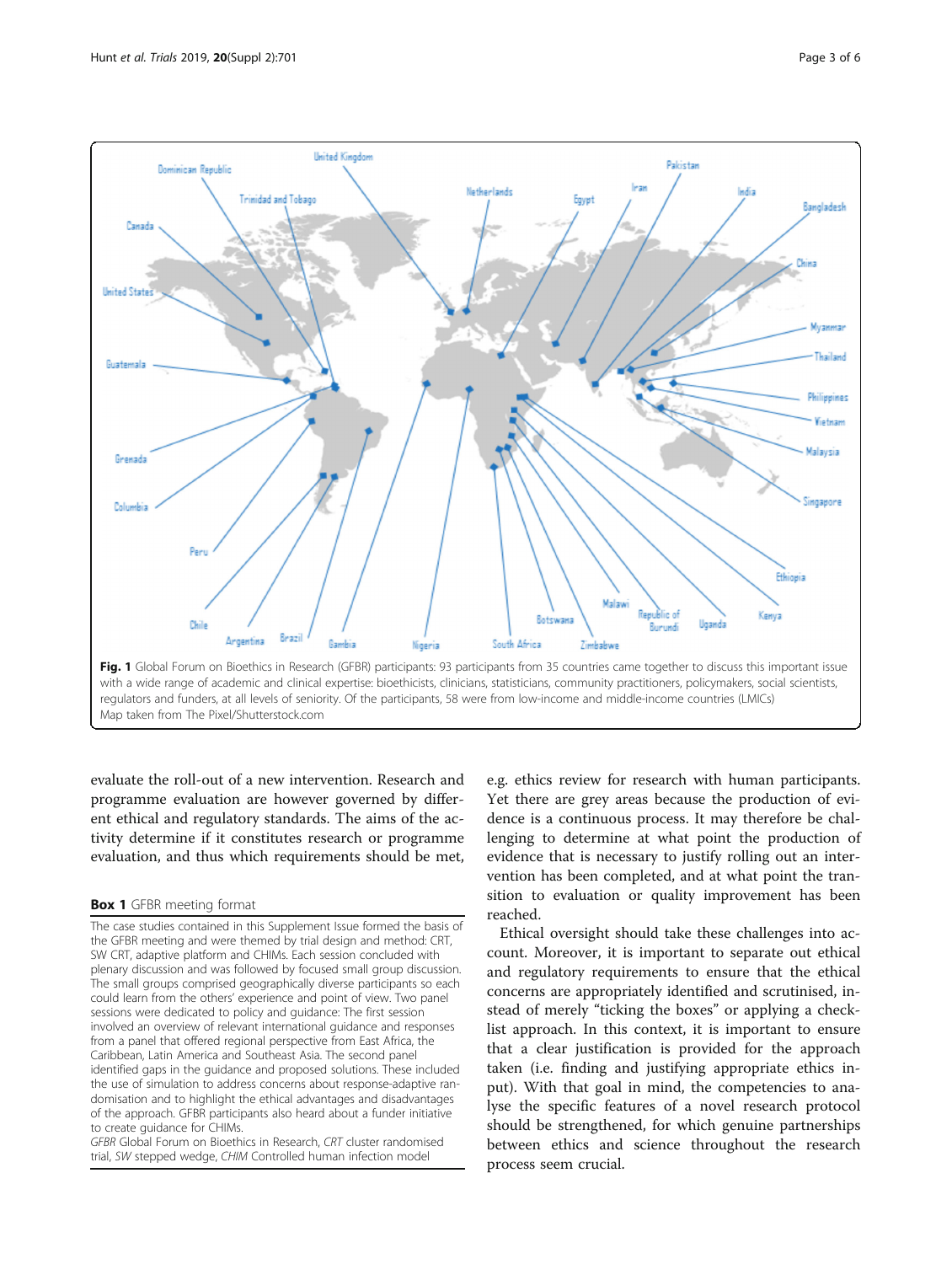<span id="page-2-0"></span>

evaluate the roll-out of a new intervention. Research and programme evaluation are however governed by different ethical and regulatory standards. The aims of the activity determine if it constitutes research or programme evaluation, and thus which requirements should be met,

#### **Box 1** GFBR meeting format

The case studies contained in this Supplement Issue formed the basis of the GFBR meeting and were themed by trial design and method: CRT, SW CRT, adaptive platform and CHIMs. Each session concluded with plenary discussion and was followed by focused small group discussion. The small groups comprised geographically diverse participants so each could learn from the others' experience and point of view. Two panel sessions were dedicated to policy and guidance: The first session involved an overview of relevant international guidance and responses from a panel that offered regional perspective from East Africa, the Caribbean, Latin America and Southeast Asia. The second panel identified gaps in the guidance and proposed solutions. These included the use of simulation to address concerns about response-adaptive randomisation and to highlight the ethical advantages and disadvantages of the approach. GFBR participants also heard about a funder initiative to create guidance for CHIMs.

GFBR Global Forum on Bioethics in Research, CRT cluster randomised trial, SW stepped wedge, CHIM Controlled human infection model

e.g. ethics review for research with human participants. Yet there are grey areas because the production of evidence is a continuous process. It may therefore be challenging to determine at what point the production of evidence that is necessary to justify rolling out an intervention has been completed, and at what point the transition to evaluation or quality improvement has been reached.

Ethical oversight should take these challenges into account. Moreover, it is important to separate out ethical and regulatory requirements to ensure that the ethical concerns are appropriately identified and scrutinised, instead of merely "ticking the boxes" or applying a checklist approach. In this context, it is important to ensure that a clear justification is provided for the approach taken (i.e. finding and justifying appropriate ethics input). With that goal in mind, the competencies to analyse the specific features of a novel research protocol should be strengthened, for which genuine partnerships between ethics and science throughout the research process seem crucial.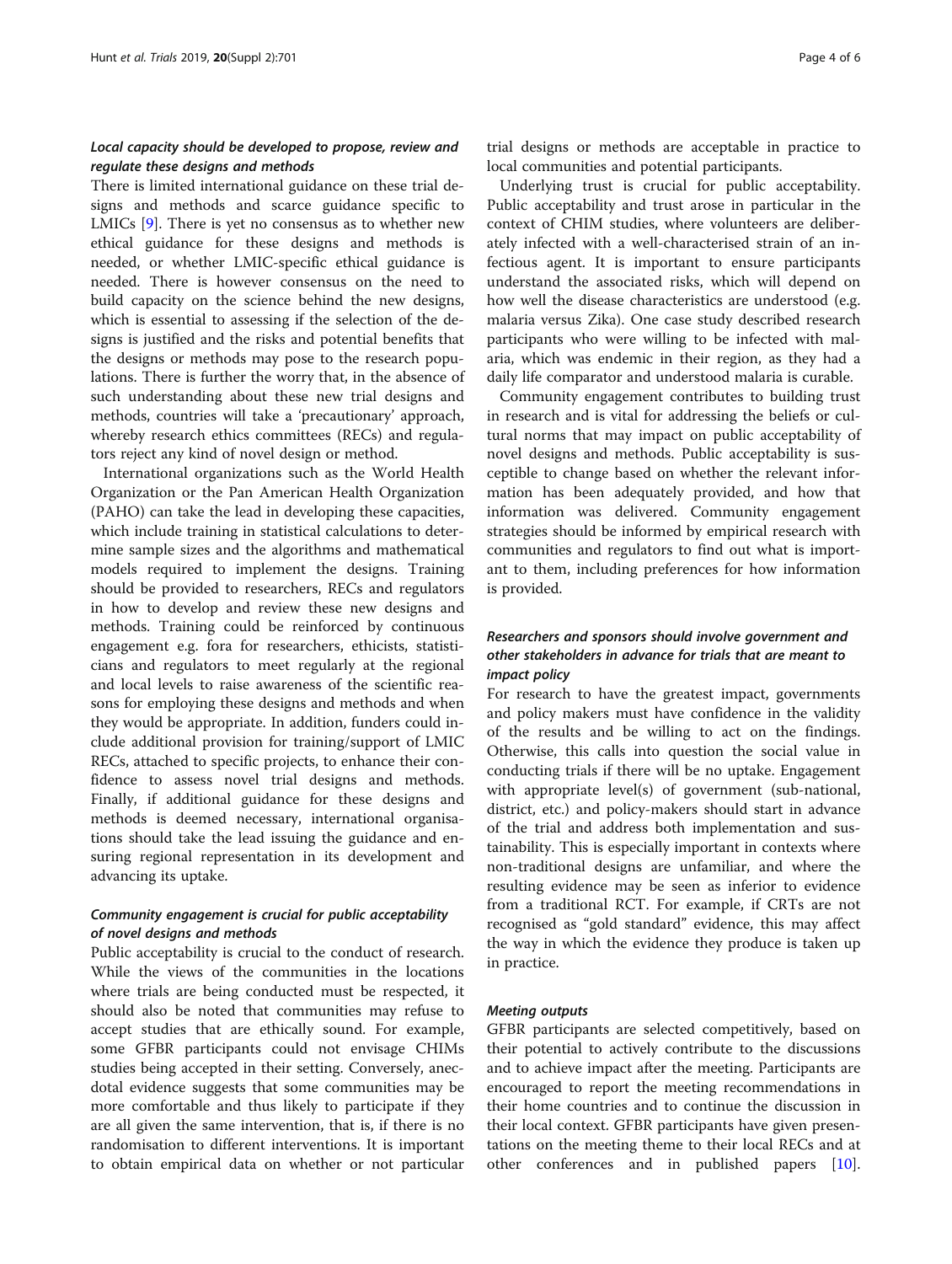# Local capacity should be developed to propose, review and regulate these designs and methods

There is limited international guidance on these trial designs and methods and scarce guidance specific to LMICs [\[9](#page-5-0)]. There is yet no consensus as to whether new ethical guidance for these designs and methods is needed, or whether LMIC-specific ethical guidance is needed. There is however consensus on the need to build capacity on the science behind the new designs, which is essential to assessing if the selection of the designs is justified and the risks and potential benefits that the designs or methods may pose to the research populations. There is further the worry that, in the absence of such understanding about these new trial designs and methods, countries will take a 'precautionary' approach, whereby research ethics committees (RECs) and regulators reject any kind of novel design or method.

International organizations such as the World Health Organization or the Pan American Health Organization (PAHO) can take the lead in developing these capacities, which include training in statistical calculations to determine sample sizes and the algorithms and mathematical models required to implement the designs. Training should be provided to researchers, RECs and regulators in how to develop and review these new designs and methods. Training could be reinforced by continuous engagement e.g. fora for researchers, ethicists, statisticians and regulators to meet regularly at the regional and local levels to raise awareness of the scientific reasons for employing these designs and methods and when they would be appropriate. In addition, funders could include additional provision for training/support of LMIC RECs, attached to specific projects, to enhance their confidence to assess novel trial designs and methods. Finally, if additional guidance for these designs and methods is deemed necessary, international organisations should take the lead issuing the guidance and ensuring regional representation in its development and advancing its uptake.

# Community engagement is crucial for public acceptability of novel designs and methods

Public acceptability is crucial to the conduct of research. While the views of the communities in the locations where trials are being conducted must be respected, it should also be noted that communities may refuse to accept studies that are ethically sound. For example, some GFBR participants could not envisage CHIMs studies being accepted in their setting. Conversely, anecdotal evidence suggests that some communities may be more comfortable and thus likely to participate if they are all given the same intervention, that is, if there is no randomisation to different interventions. It is important to obtain empirical data on whether or not particular

trial designs or methods are acceptable in practice to local communities and potential participants.

Underlying trust is crucial for public acceptability. Public acceptability and trust arose in particular in the context of CHIM studies, where volunteers are deliberately infected with a well-characterised strain of an infectious agent. It is important to ensure participants understand the associated risks, which will depend on how well the disease characteristics are understood (e.g. malaria versus Zika). One case study described research participants who were willing to be infected with malaria, which was endemic in their region, as they had a daily life comparator and understood malaria is curable.

Community engagement contributes to building trust in research and is vital for addressing the beliefs or cultural norms that may impact on public acceptability of novel designs and methods. Public acceptability is susceptible to change based on whether the relevant information has been adequately provided, and how that information was delivered. Community engagement strategies should be informed by empirical research with communities and regulators to find out what is important to them, including preferences for how information is provided.

# Researchers and sponsors should involve government and other stakeholders in advance for trials that are meant to impact policy

For research to have the greatest impact, governments and policy makers must have confidence in the validity of the results and be willing to act on the findings. Otherwise, this calls into question the social value in conducting trials if there will be no uptake. Engagement with appropriate level(s) of government (sub-national, district, etc.) and policy-makers should start in advance of the trial and address both implementation and sustainability. This is especially important in contexts where non-traditional designs are unfamiliar, and where the resulting evidence may be seen as inferior to evidence from a traditional RCT. For example, if CRTs are not recognised as "gold standard" evidence, this may affect the way in which the evidence they produce is taken up in practice.

## Meeting outputs

GFBR participants are selected competitively, based on their potential to actively contribute to the discussions and to achieve impact after the meeting. Participants are encouraged to report the meeting recommendations in their home countries and to continue the discussion in their local context. GFBR participants have given presentations on the meeting theme to their local RECs and at other conferences and in published papers [\[10](#page-5-0)].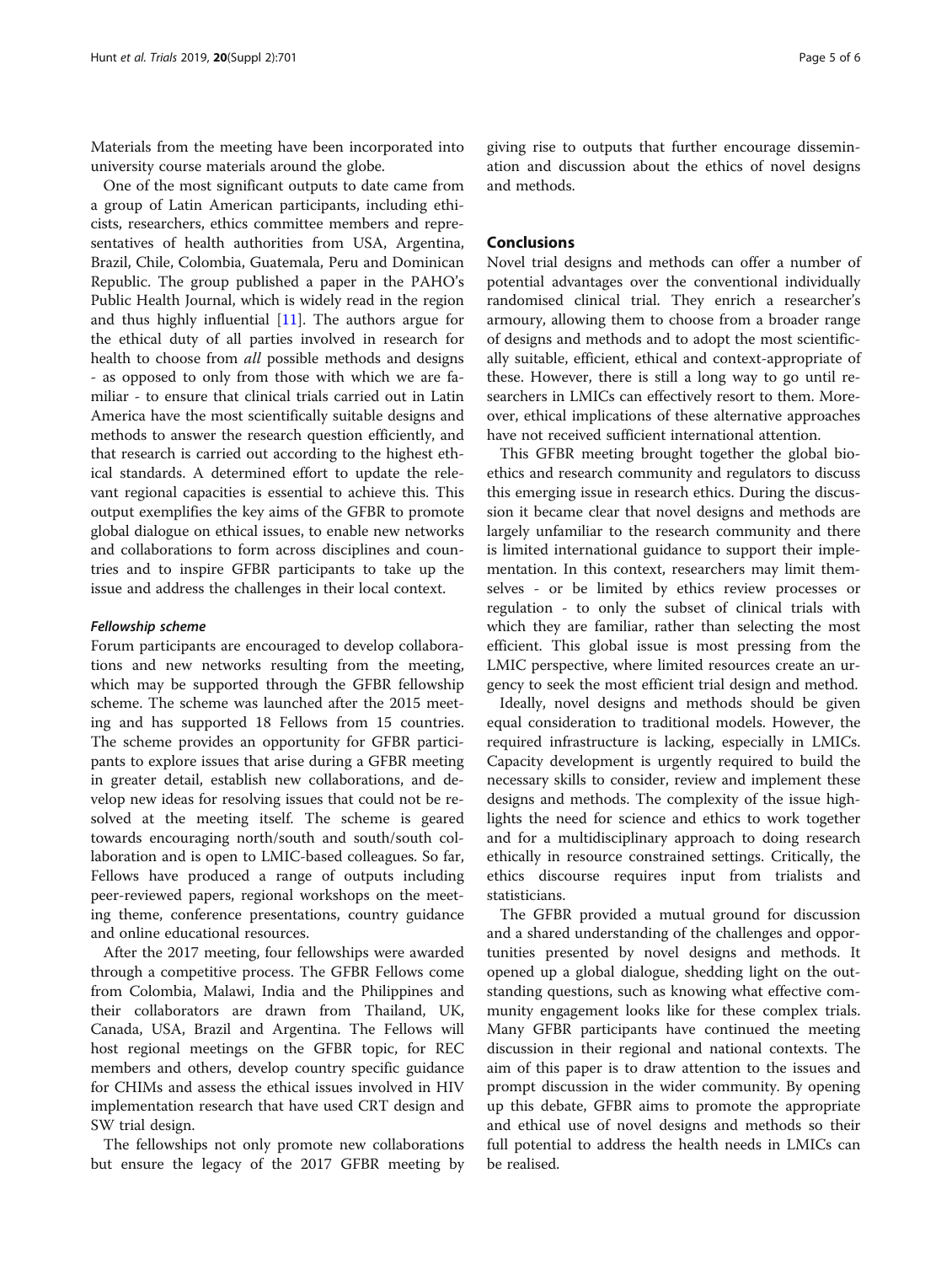Materials from the meeting have been incorporated into university course materials around the globe.

One of the most significant outputs to date came from a group of Latin American participants, including ethicists, researchers, ethics committee members and representatives of health authorities from USA, Argentina, Brazil, Chile, Colombia, Guatemala, Peru and Dominican Republic. The group published a paper in the PAHO's Public Health Journal, which is widely read in the region and thus highly influential [\[11](#page-5-0)]. The authors argue for the ethical duty of all parties involved in research for health to choose from all possible methods and designs - as opposed to only from those with which we are familiar - to ensure that clinical trials carried out in Latin America have the most scientifically suitable designs and methods to answer the research question efficiently, and that research is carried out according to the highest ethical standards. A determined effort to update the relevant regional capacities is essential to achieve this. This output exemplifies the key aims of the GFBR to promote global dialogue on ethical issues, to enable new networks and collaborations to form across disciplines and countries and to inspire GFBR participants to take up the issue and address the challenges in their local context.

### Fellowship scheme

Forum participants are encouraged to develop collaborations and new networks resulting from the meeting, which may be supported through the GFBR fellowship scheme. The scheme was launched after the 2015 meeting and has supported 18 Fellows from 15 countries. The scheme provides an opportunity for GFBR participants to explore issues that arise during a GFBR meeting in greater detail, establish new collaborations, and develop new ideas for resolving issues that could not be resolved at the meeting itself. The scheme is geared towards encouraging north/south and south/south collaboration and is open to LMIC-based colleagues. So far, Fellows have produced a range of outputs including peer-reviewed papers, regional workshops on the meeting theme, conference presentations, country guidance and online educational resources.

After the 2017 meeting, four fellowships were awarded through a competitive process. The GFBR Fellows come from Colombia, Malawi, India and the Philippines and their collaborators are drawn from Thailand, UK, Canada, USA, Brazil and Argentina. The Fellows will host regional meetings on the GFBR topic, for REC members and others, develop country specific guidance for CHIMs and assess the ethical issues involved in HIV implementation research that have used CRT design and SW trial design.

The fellowships not only promote new collaborations but ensure the legacy of the 2017 GFBR meeting by giving rise to outputs that further encourage dissemination and discussion about the ethics of novel designs and methods.

# Conclusions

Novel trial designs and methods can offer a number of potential advantages over the conventional individually randomised clinical trial. They enrich a researcher's armoury, allowing them to choose from a broader range of designs and methods and to adopt the most scientifically suitable, efficient, ethical and context-appropriate of these. However, there is still a long way to go until researchers in LMICs can effectively resort to them. Moreover, ethical implications of these alternative approaches have not received sufficient international attention.

This GFBR meeting brought together the global bioethics and research community and regulators to discuss this emerging issue in research ethics. During the discussion it became clear that novel designs and methods are largely unfamiliar to the research community and there is limited international guidance to support their implementation. In this context, researchers may limit themselves - or be limited by ethics review processes or regulation - to only the subset of clinical trials with which they are familiar, rather than selecting the most efficient. This global issue is most pressing from the LMIC perspective, where limited resources create an urgency to seek the most efficient trial design and method.

Ideally, novel designs and methods should be given equal consideration to traditional models. However, the required infrastructure is lacking, especially in LMICs. Capacity development is urgently required to build the necessary skills to consider, review and implement these designs and methods. The complexity of the issue highlights the need for science and ethics to work together and for a multidisciplinary approach to doing research ethically in resource constrained settings. Critically, the ethics discourse requires input from trialists and statisticians.

The GFBR provided a mutual ground for discussion and a shared understanding of the challenges and opportunities presented by novel designs and methods. It opened up a global dialogue, shedding light on the outstanding questions, such as knowing what effective community engagement looks like for these complex trials. Many GFBR participants have continued the meeting discussion in their regional and national contexts. The aim of this paper is to draw attention to the issues and prompt discussion in the wider community. By opening up this debate, GFBR aims to promote the appropriate and ethical use of novel designs and methods so their full potential to address the health needs in LMICs can be realised.